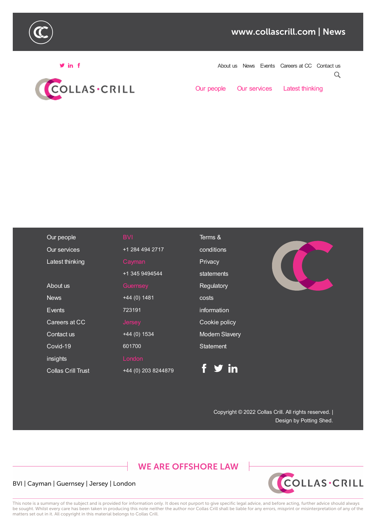



Follow us News Events Careers at CC Contact us  $\alpha$ 

Our people Our services Latest thinking

| Our people                | <b>BVI</b>          | Terms &               |
|---------------------------|---------------------|-----------------------|
| Our services              | +1 284 494 2717     | conditions            |
| Latest thinking           | Cayman              | Privacy               |
|                           | +1 345 9494544      | statements            |
| About us                  | Guernsey            | Regulatory            |
| <b>News</b>               | $+44(0)$ 1481       | costs                 |
| Events                    | 723191              | information           |
| Careers at CC             | <b>Jersey</b>       | Cookie policy         |
| Contact us                | $+44(0)$ 1534       | <b>Modern Slavery</b> |
| Covid-19                  | 601700              | <b>Statement</b>      |
| insights                  | London              |                       |
| <b>Collas Crill Trust</b> | +44 (0) 203 8244879 | f y in                |

Copyright © 2022 Collas Crill. All rights reserved. | Design by Potting Shed.

**WE ARE OFFSHORE LAW** 

## BVI | Cayman | Guernsey | Jersey | London



This note is a summary of the subject and is provided for information only. It does not purport to give specific legal advice, and before acting, further advice should always be sought. Whilst every care has been taken in producing this note neither the author nor Collas Crill shall be liable for any errors, misprint or misinterpretation of any of the matters set out in it. All copyright in this material belongs to Collas Crill.